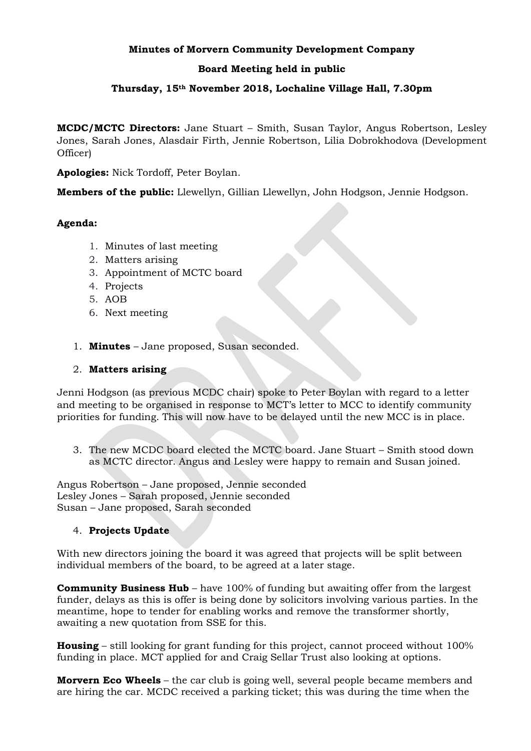#### **Minutes of Morvern Community Development Company**

# **Board Meeting held in public**

# **Thursday, 15th November 2018, Lochaline Village Hall, 7.30pm**

**MCDC/MCTC Directors:** Jane Stuart – Smith, Susan Taylor, Angus Robertson, Lesley Jones, Sarah Jones, Alasdair Firth, Jennie Robertson, Lilia Dobrokhodova (Development Officer)

**Apologies:** Nick Tordoff, Peter Boylan.

**Members of the public:** Llewellyn, Gillian Llewellyn, John Hodgson, Jennie Hodgson.

## **Agenda:**

- 1. Minutes of last meeting
- 2. Matters arising
- 3. Appointment of MCTC board
- 4. Projects
- 5. AOB
- 6. Next meeting
- 1. **Minutes** Jane proposed, Susan seconded.

## 2. **Matters arising**

Jenni Hodgson (as previous MCDC chair) spoke to Peter Boylan with regard to a letter and meeting to be organised in response to MCT's letter to MCC to identify community priorities for funding. This will now have to be delayed until the new MCC is in place.

3. The new MCDC board elected the MCTC board. Jane Stuart – Smith stood down as MCTC director. Angus and Lesley were happy to remain and Susan joined.

Angus Robertson – Jane proposed, Jennie seconded Lesley Jones – Sarah proposed, Jennie seconded Susan – Jane proposed, Sarah seconded

#### 4. **Projects Update**

With new directors joining the board it was agreed that projects will be split between individual members of the board, to be agreed at a later stage.

**Community Business Hub** – have 100% of funding but awaiting offer from the largest funder, delays as this is offer is being done by solicitors involving various parties. In the meantime, hope to tender for enabling works and remove the transformer shortly, awaiting a new quotation from SSE for this.

**Housing** – still looking for grant funding for this project, cannot proceed without 100% funding in place. MCT applied for and Craig Sellar Trust also looking at options.

**Morvern Eco Wheels** – the car club is going well, several people became members and are hiring the car. MCDC received a parking ticket; this was during the time when the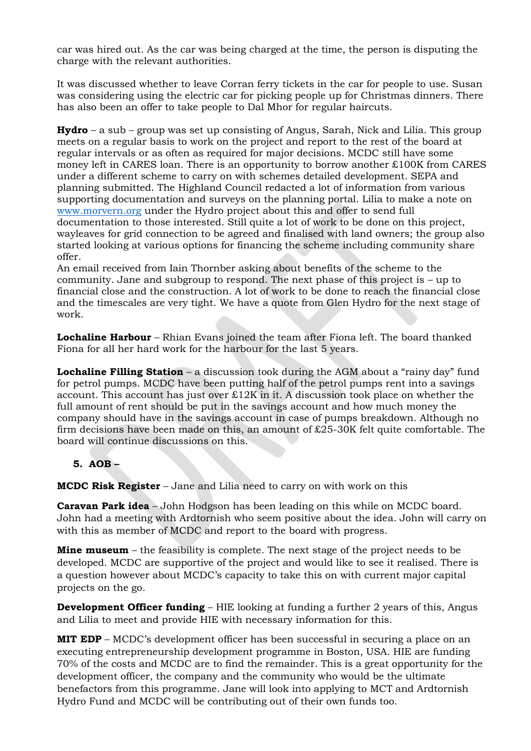car was hired out. As the car was being charged at the time, the person is disputing the charge with the relevant authorities.

It was discussed whether to leave Corran ferry tickets in the car for people to use. Susan was considering using the electric car for picking people up for Christmas dinners. There has also been an offer to take people to Dal Mhor for regular haircuts.

**Hydro** – a sub – group was set up consisting of Angus, Sarah, Nick and Lilia. This group meets on a regular basis to work on the project and report to the rest of the board at regular intervals or as often as required for major decisions. MCDC still have some money left in CARES loan. There is an opportunity to borrow another £100K from CARES under a different scheme to carry on with schemes detailed development. SEPA and planning submitted. The Highland Council redacted a lot of information from various supporting documentation and surveys on the planning portal. Lilia to make a note on [www.morvern.org](http://www.morvern.org/) under the Hydro project about this and offer to send full documentation to those interested. Still quite a lot of work to be done on this project, wayleaves for grid connection to be agreed and finalised with land owners; the group also started looking at various options for financing the scheme including community share offer.

An email received from Iain Thornber asking about benefits of the scheme to the community. Jane and subgroup to respond. The next phase of this project is – up to financial close and the construction. A lot of work to be done to reach the financial close and the timescales are very tight. We have a quote from Glen Hydro for the next stage of work.

**Lochaline Harbour** – Rhian Evans joined the team after Fiona left. The board thanked Fiona for all her hard work for the harbour for the last 5 years.

**Lochaline Filling Station** – a discussion took during the AGM about a "rainy day" fund for petrol pumps. MCDC have been putting half of the petrol pumps rent into a savings account. This account has just over £12K in it. A discussion took place on whether the full amount of rent should be put in the savings account and how much money the company should have in the savings account in case of pumps breakdown. Although no firm decisions have been made on this, an amount of  $\pounds 25$ -30K felt quite comfortable. The board will continue discussions on this.

# **5. AOB –**

**MCDC Risk Register** – Jane and Lilia need to carry on with work on this

**Caravan Park idea** – John Hodgson has been leading on this while on MCDC board. John had a meeting with Ardtornish who seem positive about the idea. John will carry on with this as member of MCDC and report to the board with progress.

**Mine museum** – the feasibility is complete. The next stage of the project needs to be developed. MCDC are supportive of the project and would like to see it realised. There is a question however about MCDC's capacity to take this on with current major capital projects on the go.

**Development Officer funding** – HIE looking at funding a further 2 years of this, Angus and Lilia to meet and provide HIE with necessary information for this.

**MIT EDP** – MCDC's development officer has been successful in securing a place on an executing entrepreneurship development programme in Boston, USA. HIE are funding 70% of the costs and MCDC are to find the remainder. This is a great opportunity for the development officer, the company and the community who would be the ultimate benefactors from this programme. Jane will look into applying to MCT and Ardtornish Hydro Fund and MCDC will be contributing out of their own funds too.